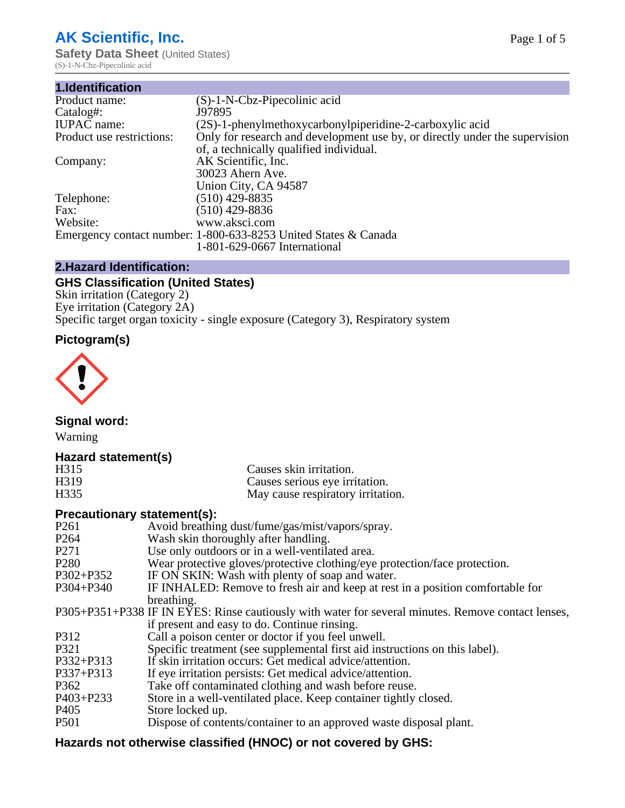# **AK Scientific, Inc.**

**Safety Data Sheet (United States)** (S)-1-N-Cbz-Pipecolinic acid

| 1.Identification          |                                                                             |
|---------------------------|-----------------------------------------------------------------------------|
| Product name:             | $(S)-1-N-Cbz-Pipecolinic acid$                                              |
| Catalog#:                 | J97895                                                                      |
| <b>IUPAC</b> name:        | (2S)-1-phenylmethoxycarbonylpiperidine-2-carboxylic acid                    |
| Product use restrictions: | Only for research and development use by, or directly under the supervision |
|                           | of, a technically qualified individual.                                     |
| Company:                  | AK Scientific, Inc.                                                         |
|                           | 30023 Ahern Ave.                                                            |
|                           | Union City, CA 94587                                                        |
| Telephone:                | $(510)$ 429-8835                                                            |
| Fax:                      | (510) 429-8836                                                              |
| Website:                  | www.aksci.com                                                               |
|                           | Emergency contact number: 1-800-633-8253 United States & Canada             |
|                           | 1-801-629-0667 International                                                |

# **2.Hazard Identification:**

# **GHS Classification (United States)**

Skin irritation (Category 2) Eye irritation (Category 2A) Specific target organ toxicity - single exposure (Category 3), Respiratory system

# **Pictogram(s)**



**Signal word:**

Warning

## **Hazard statement(s)**

| H315 | Causes skin irritation.           |
|------|-----------------------------------|
| H319 | Causes serious eye irritation.    |
| H335 | May cause respiratory irritation. |

## **Precautionary statement(s):**

| P <sub>261</sub> | Avoid breathing dust/fume/gas/mist/vapors/spray.                                                   |
|------------------|----------------------------------------------------------------------------------------------------|
| P <sub>264</sub> | Wash skin thoroughly after handling.                                                               |
| P <sub>271</sub> | Use only outdoors or in a well-ventilated area.                                                    |
| P <sub>280</sub> | Wear protective gloves/protective clothing/eye protection/face protection.                         |
| P302+P352        | IF ON SKIN: Wash with plenty of soap and water.                                                    |
| $P304 + P340$    | IF INHALED: Remove to fresh air and keep at rest in a position comfortable for                     |
|                  | breathing.                                                                                         |
|                  | P305+P351+P338 IF IN EYES: Rinse cautiously with water for several minutes. Remove contact lenses, |
|                  | if present and easy to do. Continue rinsing.                                                       |
| P312             | Call a poison center or doctor if you feel unwell.                                                 |
| P321             | Specific treatment (see supplemental first aid instructions on this label).                        |
| P332+P313        | If skin irritation occurs: Get medical advice/attention.                                           |
| P337+P313        | If eye irritation persists: Get medical advice/attention.                                          |
| P362             | Take off contaminated clothing and wash before reuse.                                              |
| P403+P233        | Store in a well-ventilated place. Keep container tightly closed.                                   |
| P <sub>405</sub> | Store locked up.                                                                                   |
| P <sub>501</sub> | Dispose of contents/container to an approved waste disposal plant.                                 |
|                  |                                                                                                    |

# **Hazards not otherwise classified (HNOC) or not covered by GHS:**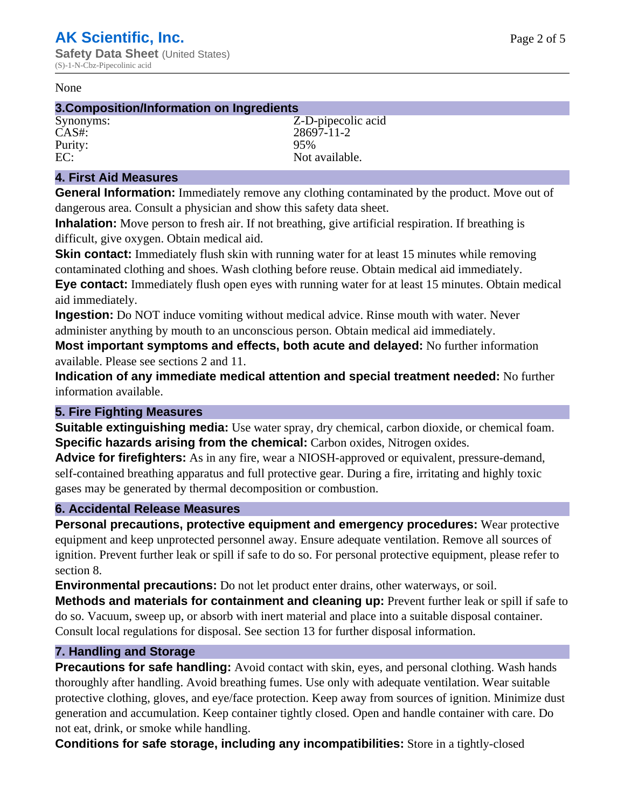#### None

## **3.Composition/Information on Ingredients**

CAS#: 28697-11-2<br>Purity: 95% 95% Purity:<br>EC:

Synonyms: Z-D-pipecolic acid Not available.

# **4. First Aid Measures**

**General Information:** Immediately remove any clothing contaminated by the product. Move out of dangerous area. Consult a physician and show this safety data sheet.

**Inhalation:** Move person to fresh air. If not breathing, give artificial respiration. If breathing is difficult, give oxygen. Obtain medical aid.

**Skin contact:** Immediately flush skin with running water for at least 15 minutes while removing contaminated clothing and shoes. Wash clothing before reuse. Obtain medical aid immediately. **Eye contact:** Immediately flush open eyes with running water for at least 15 minutes. Obtain medical aid immediately.

**Ingestion:** Do NOT induce vomiting without medical advice. Rinse mouth with water. Never administer anything by mouth to an unconscious person. Obtain medical aid immediately.

**Most important symptoms and effects, both acute and delayed:** No further information available. Please see sections 2 and 11.

**Indication of any immediate medical attention and special treatment needed:** No further information available.

## **5. Fire Fighting Measures**

**Suitable extinguishing media:** Use water spray, dry chemical, carbon dioxide, or chemical foam. **Specific hazards arising from the chemical:** Carbon oxides, Nitrogen oxides.

**Advice for firefighters:** As in any fire, wear a NIOSH-approved or equivalent, pressure-demand, self-contained breathing apparatus and full protective gear. During a fire, irritating and highly toxic gases may be generated by thermal decomposition or combustion.

# **6. Accidental Release Measures**

**Personal precautions, protective equipment and emergency procedures:** Wear protective equipment and keep unprotected personnel away. Ensure adequate ventilation. Remove all sources of ignition. Prevent further leak or spill if safe to do so. For personal protective equipment, please refer to section 8.

**Environmental precautions:** Do not let product enter drains, other waterways, or soil.

**Methods and materials for containment and cleaning up:** Prevent further leak or spill if safe to do so. Vacuum, sweep up, or absorb with inert material and place into a suitable disposal container. Consult local regulations for disposal. See section 13 for further disposal information.

## **7. Handling and Storage**

**Precautions for safe handling:** Avoid contact with skin, eyes, and personal clothing. Wash hands thoroughly after handling. Avoid breathing fumes. Use only with adequate ventilation. Wear suitable protective clothing, gloves, and eye/face protection. Keep away from sources of ignition. Minimize dust generation and accumulation. Keep container tightly closed. Open and handle container with care. Do not eat, drink, or smoke while handling.

**Conditions for safe storage, including any incompatibilities:** Store in a tightly-closed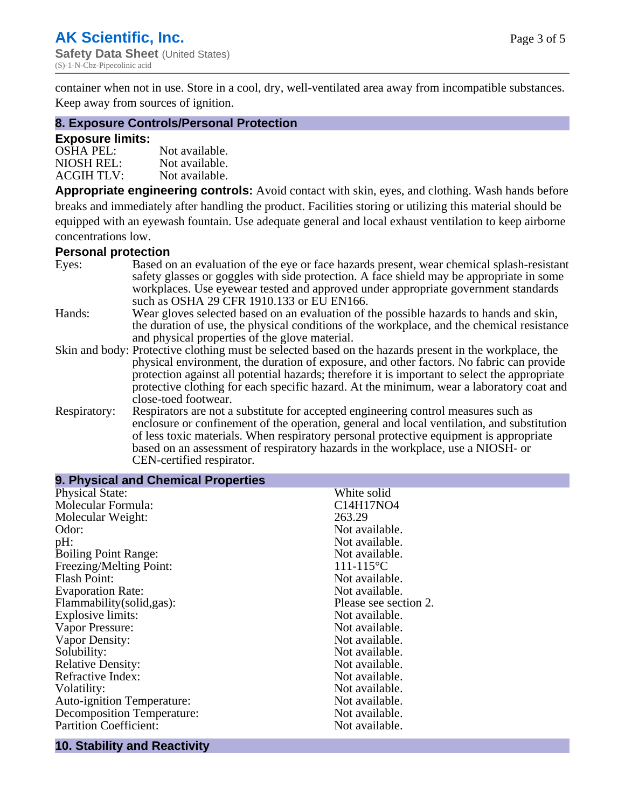container when not in use. Store in a cool, dry, well-ventilated area away from incompatible substances. Keep away from sources of ignition.

#### **8. Exposure Controls/Personal Protection**

#### **Exposure limits:**

| <b>OSHA PEL:</b>  | Not available. |
|-------------------|----------------|
| NIOSH REL:        | Not available. |
| <b>ACGIH TLV:</b> | Not available. |

**Appropriate engineering controls:** Avoid contact with skin, eyes, and clothing. Wash hands before breaks and immediately after handling the product. Facilities storing or utilizing this material should be equipped with an eyewash fountain. Use adequate general and local exhaust ventilation to keep airborne concentrations low.

#### **Personal protection**

| Eyes:        | Based on an evaluation of the eye or face hazards present, wear chemical splash-resistant<br>safety glasses or goggles with side protection. A face shield may be appropriate in some |
|--------------|---------------------------------------------------------------------------------------------------------------------------------------------------------------------------------------|
|              | workplaces. Use eyewear tested and approved under appropriate government standards<br>such as OSHA 29 CFR 1910.133 or EU EN166.                                                       |
| Hands:       | Wear gloves selected based on an evaluation of the possible hazards to hands and skin,                                                                                                |
|              | the duration of use, the physical conditions of the workplace, and the chemical resistance                                                                                            |
|              | and physical properties of the glove material.                                                                                                                                        |
|              | Skin and body: Protective clothing must be selected based on the hazards present in the workplace, the                                                                                |
|              | physical environment, the duration of exposure, and other factors. No fabric can provide                                                                                              |
|              | protection against all potential hazards; therefore it is important to select the appropriate                                                                                         |
|              | protective clothing for each specific hazard. At the minimum, wear a laboratory coat and                                                                                              |
|              | close-toed footwear.                                                                                                                                                                  |
| Respiratory: | Respirators are not a substitute for accepted engineering control measures such as<br>enclosure or confinement of the operation, general and local ventilation, and substitution      |
|              | of less toxic materials. When respiratory personal protective equipment is appropriate                                                                                                |
|              |                                                                                                                                                                                       |
|              | based on an assessment of respiratory hazards in the workplace, use a NIOSH- or                                                                                                       |
|              | CEN-certified respirator.                                                                                                                                                             |

| 9. Physical and Chemical Properties |                       |
|-------------------------------------|-----------------------|
| <b>Physical State:</b>              | White solid           |
| Molecular Formula:                  | C14H17NO4             |
| Molecular Weight:                   | 263.29                |
| Odor:                               | Not available.        |
| pH:                                 | Not available.        |
| <b>Boiling Point Range:</b>         | Not available.        |
| Freezing/Melting Point:             | 111-115 °C            |
| <b>Flash Point:</b>                 | Not available.        |
| <b>Evaporation Rate:</b>            | Not available.        |
| Flammability(solid,gas):            | Please see section 2. |
| <b>Explosive limits:</b>            | Not available.        |
| Vapor Pressure:                     | Not available.        |
| Vapor Density:                      | Not available.        |
| Solubility:                         | Not available.        |
| <b>Relative Density:</b>            | Not available.        |
| Refractive Index:                   | Not available.        |
| Volatility:                         | Not available.        |
| <b>Auto-ignition Temperature:</b>   | Not available.        |
| <b>Decomposition Temperature:</b>   | Not available.        |
| <b>Partition Coefficient:</b>       | Not available.        |
|                                     |                       |

# **10. Stability and Reactivity**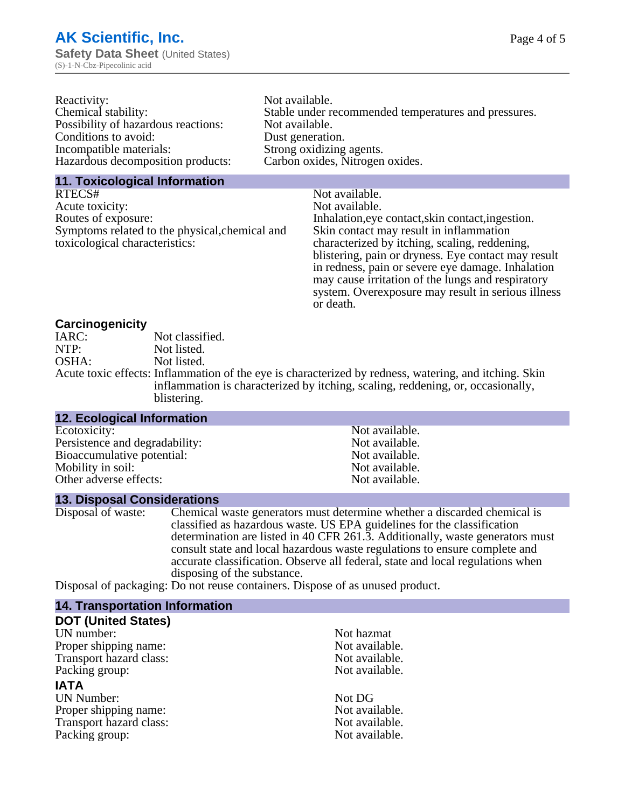| Reactivity:                         | Not available.                                       |
|-------------------------------------|------------------------------------------------------|
| Chemical stability:                 | Stable under recommended temperatures and pressures. |
| Possibility of hazardous reactions: | Not available.                                       |
| Conditions to avoid:                | Dust generation.                                     |
| Incompatible materials:             | Strong oxidizing agents.                             |
| Hazardous decomposition products:   | Carbon oxides, Nitrogen oxides.                      |
|                                     |                                                      |

#### **11. Toxicological Information**

| RTECS#                                         | Not available.                                      |
|------------------------------------------------|-----------------------------------------------------|
| Acute toxicity:                                | Not available.                                      |
| Routes of exposure:                            | Inhalation, eye contact, skin contact, ingestion.   |
| Symptoms related to the physical, chemical and | Skin contact may result in inflammation             |
| toxicological characteristics:                 | characterized by itching, scaling, reddening,       |
|                                                | blistering, pain or dryness. Eye contact may result |
|                                                | in redness, pain or severe eye damage. Inhalation   |
|                                                | may cause irritation of the lungs and respiratory   |
|                                                | system. Overexposure may result in serious illness  |

or death.

#### **Carcinogenicity**

| IARC: | Not classified.                                                                                       |
|-------|-------------------------------------------------------------------------------------------------------|
| NTP:  | Not listed.                                                                                           |
| OSHA: | Not listed.                                                                                           |
|       | Acute toxic effects: Inflammation of the eye is characterized by redness, watering, and itching. Skin |
|       | inflammation is characterized by itching, scaling, reddening, or, occasionally,                       |
|       | blistering.                                                                                           |

| <b>12. Ecological Information</b> |                |  |
|-----------------------------------|----------------|--|
| Ecotoxicity:                      | Not available. |  |
| Persistence and degradability:    | Not available. |  |
| Bioaccumulative potential:        | Not available. |  |
| Mobility in soil:                 | Not available. |  |
| Other adverse effects:            | Not available. |  |

#### **13. Disposal Considerations**

Disposal of waste: Chemical waste generators must determine whether a discarded chemical is classified as hazardous waste. US EPA guidelines for the classification determination are listed in 40 CFR 261.3. Additionally, waste generators must consult state and local hazardous waste regulations to ensure complete and accurate classification. Observe all federal, state and local regulations when disposing of the substance.

Disposal of packaging: Do not reuse containers. Dispose of as unused product.

| <b>14. Transportation Information</b> |                |
|---------------------------------------|----------------|
| <b>DOT (United States)</b>            |                |
| UN number:                            | Not hazmat     |
| Proper shipping name:                 | Not available. |
| Transport hazard class:               | Not available. |
| Packing group:                        | Not available. |
| <b>IATA</b>                           |                |
| <b>UN Number:</b>                     | Not DG         |
| Proper shipping name:                 | Not available. |
| Transport hazard class:               | Not available. |
| Packing group:                        | Not available. |